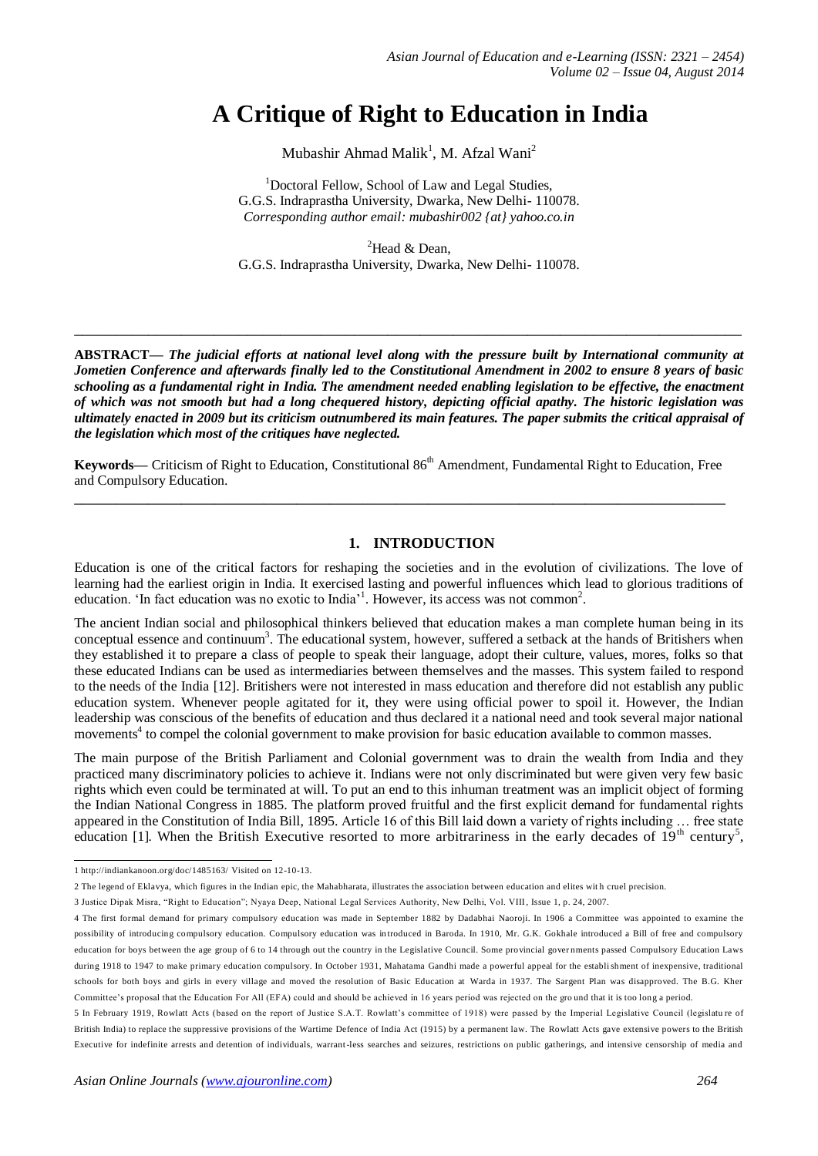# **A Critique of Right to Education in India**

Mubashir Ahmad Malik<sup>1</sup>, M. Afzal Wani<sup>2</sup>

<sup>1</sup>Doctoral Fellow, School of Law and Legal Studies, G.G.S. Indraprastha University, Dwarka, New Delhi- 110078. *Corresponding author email: mubashir002 {at} yahoo.co.in*

<sup>2</sup>Head & Dean, G.G.S. Indraprastha University, Dwarka, New Delhi- 110078.

**ABSTRACT—** *The judicial efforts at national level along with the pressure built by International community at Jometien Conference and afterwards finally led to the Constitutional Amendment in 2002 to ensure 8 years of basic schooling as a fundamental right in India. The amendment needed enabling legislation to be effective, the enactment of which was not smooth but had a long chequered history, depicting official apathy. The historic legislation was ultimately enacted in 2009 but its criticism outnumbered its main features. The paper submits the critical appraisal of the legislation which most of the critiques have neglected.*

**\_\_\_\_\_\_\_\_\_\_\_\_\_\_\_\_\_\_\_\_\_\_\_\_\_\_\_\_\_\_\_\_\_\_\_\_\_\_\_\_\_\_\_\_\_\_\_\_\_\_\_\_\_\_\_\_\_\_\_\_\_\_\_\_\_\_\_\_\_\_\_\_\_\_\_\_\_\_\_\_\_**

**Keywords—** Criticism of Right to Education, Constitutional 86<sup>th</sup> Amendment, Fundamental Right to Education, Free and Compulsory Education. **\_\_\_\_\_\_\_\_\_\_\_\_\_\_\_\_\_\_\_\_\_\_\_\_\_\_\_\_\_\_\_\_\_\_\_\_\_\_\_\_\_\_\_\_\_\_\_\_\_\_\_\_\_\_\_\_\_\_\_\_\_\_\_\_\_\_\_\_\_\_\_\_\_\_\_\_\_\_\_**

#### **1. INTRODUCTION**

Education is one of the critical factors for reshaping the societies and in the evolution of civilizations. The love of learning had the earliest origin in India. It exercised lasting and powerful influences which lead to glorious traditions of education. 'In fact education was no exotic to India<sup>31</sup>. However, its access was not common<sup>2</sup>.

The ancient Indian social and philosophical thinkers believed that education makes a man complete human being in its conceptual essence and continuum<sup>3</sup>. The educational system, however, suffered a setback at the hands of Britishers when they established it to prepare a class of people to speak their language, adopt their culture, values, mores, folks so that these educated Indians can be used as intermediaries between themselves and the masses. This system failed to respond to the needs of the India [12]. Britishers were not interested in mass education and therefore did not establish any public education system. Whenever people agitated for it, they were using official power to spoil it. However, the Indian leadership was conscious of the benefits of education and thus declared it a national need and took several major national movements<sup>4</sup> to compel the colonial government to make provision for basic education available to common masses.

The main purpose of the British Parliament and Colonial government was to drain the wealth from India and they practiced many discriminatory policies to achieve it. Indians were not only discriminated but were given very few basic rights which even could be terminated at will. To put an end to this inhuman treatment was an implicit object of forming the Indian National Congress in 1885. The platform proved fruitful and the first explicit demand for fundamental rights appeared in the Constitution of India Bill, 1895. Article 16 of this Bill laid down a variety of rights including … free state education [1]. When the British Executive resorted to more arbitrariness in the early decades of 19<sup>th</sup> century<sup>5</sup>,

 1 <http://indiankanoon.org/doc/1485163/> Visited on 12-10-13.

<sup>2</sup> The legend of Eklavya, which figures in the Indian epic, the Mahabharata, illustrates the association between education and elites wit h cruel precision.

<sup>3</sup> Justice Dipak Misra, "Right to Education"; Nyaya Deep, National Legal Services Authority, New Delhi, Vol. VIII, Issue 1, p. 24, 2007.

<sup>4</sup> The first formal demand for primary compulsory education was made in September 1882 by Dadabhai Naoroji. In 1906 a Committee was appointed to examine the possibility of introducing compulsory education. Compulsory education was in troduced in Baroda. In 1910, Mr. G.K. Gokhale introduced a Bill of free and compulsory education for boys between the age group of 6 to 14 through out the country in the Legislative Council. Some provincial gover nments passed Compulsory Education Laws during 1918 to 1947 to make primary education compulsory. In October 1931, Mahatama Gandhi made a powerful appeal for the establishment of inexpensive, traditional schools for both boys and girls in every village and moved the resolution of Basic Education at Warda in 1937. The Sargent Plan was disapproved. The B.G. Kher Committee's proposal that the Education For All (EFA) could and should be achieved in 16 years period was rejected on the gro und that it is too long a period.

<sup>5</sup> In February 1919, Rowlatt Acts (based on the report of Justice S.A.T. Rowlatt's committee of 1918) were passed by the Imperial Legislative Council (legislatu re of British India) to replace the suppressive provisions of the Wartime Defence of India Act (1915) by a permanent law. The Rowlatt Acts gave extensive powers to the British Executive for indefinite arrests and detention of individuals, warrant-less searches and seizures, restrictions on public gatherings, and intensive censorship of media and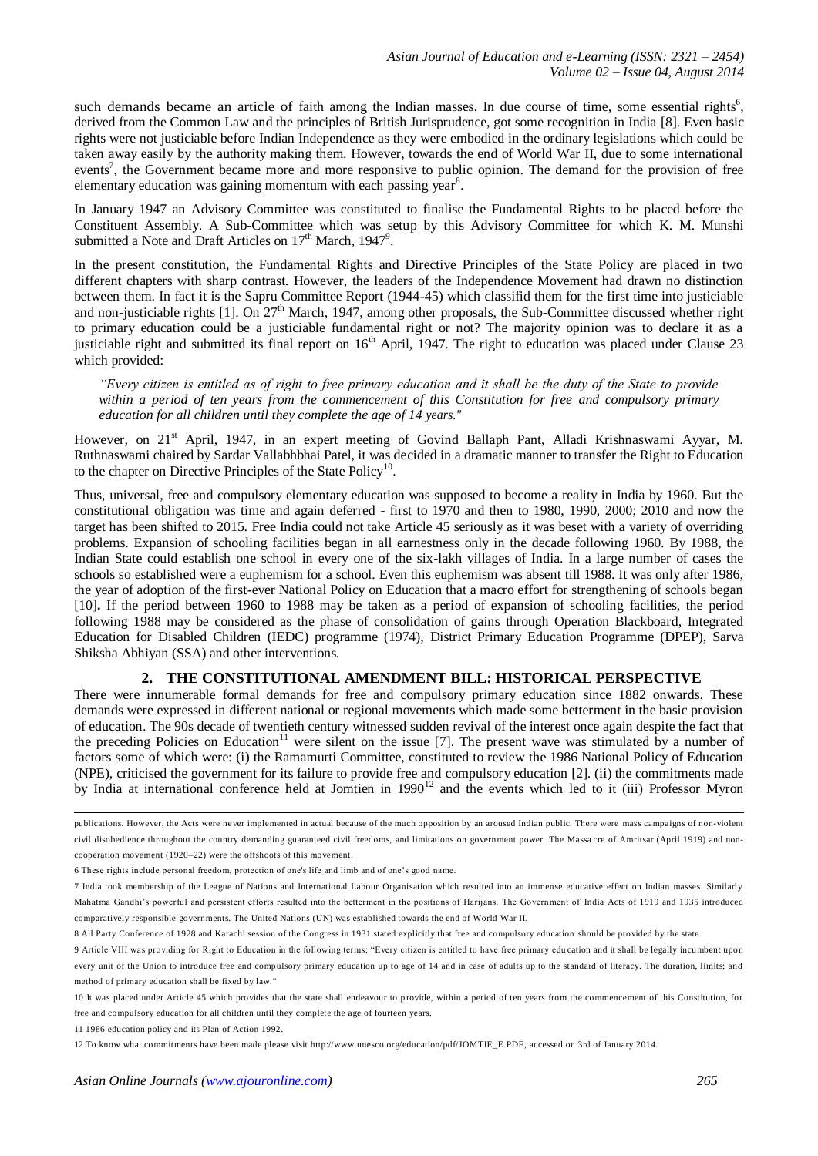such demands became an article of faith among the Indian masses. In due course of time, some essential rights<sup>6</sup>, derived from the Common Law and the principles of British Jurisprudence, got some recognition in India [8]. Even basic rights were not justiciable before Indian Independence as they were embodied in the ordinary legislations which could be taken away easily by the authority making them. However, towards the end of World War II, due to some international events<sup>7</sup>, the Government became more and more responsive to public opinion. The demand for the provision of free elementary education was gaining momentum with each passing year<sup>8</sup>.

In January 1947 an Advisory Committee was constituted to finalise the Fundamental Rights to be placed before the Constituent Assembly. A Sub-Committee which was setup by this Advisory Committee for which K. M. Munshi submitted a Note and Draft Articles on  $17<sup>th</sup>$  March,  $1947<sup>9</sup>$ .

In the present constitution, the Fundamental Rights and Directive Principles of the State Policy are placed in two different chapters with sharp contrast. However, the leaders of the Independence Movement had drawn no distinction between them. In fact it is the Sapru Committee Report (1944-45) which classifid them for the first time into justiciable and non-justiciable rights [1]. On  $27<sup>th</sup>$  March, 1947, among other proposals, the Sub-Committee discussed whether right to primary education could be a justiciable fundamental right or not? The majority opinion was to declare it as a justiciable right and submitted its final report on  $16<sup>th</sup>$  April, 1947. The right to education was placed under Clause 23 which provided:

*"Every citizen is entitled as of right to free primary education and it shall be the duty of the State to provide within a period of ten years from the commencement of this Constitution for free and compulsory primary education for all children until they complete the age of 14 years."*

However, on 21<sup>st</sup> April, 1947, in an expert meeting of Govind Ballaph Pant, Alladi Krishnaswami Ayyar, M. Ruthnaswami chaired by Sardar Vallabhbhai Patel, it was decided in a dramatic manner to transfer the Right to Education to the chapter on Directive Principles of the State Policy<sup>10</sup>.

Thus, universal, free and compulsory elementary education was supposed to become a reality in India by 1960. But the constitutional obligation was time and again deferred - first to 1970 and then to 1980, 1990, 2000; 2010 and now the target has been shifted to 2015. Free India could not take Article 45 seriously as it was beset with a variety of overriding problems. Expansion of schooling facilities began in all earnestness only in the decade following 1960. By 1988, the Indian State could establish one school in every one of the six-lakh villages of India. In a large number of cases the schools so established were a euphemism for a school. Even this euphemism was absent till 1988. It was only after 1986, the year of adoption of the first-ever National Policy on Education that a macro effort for strengthening of schools began [10]**.** If the period between 1960 to 1988 may be taken as a period of expansion of schooling facilities, the period following 1988 may be considered as the phase of consolidation of gains through Operation Blackboard, Integrated Education for Disabled Children (IEDC) programme (1974), District Primary Education Programme (DPEP), Sarva Shiksha Abhiyan (SSA) and other interventions.

## **2. THE CONSTITUTIONAL AMENDMENT BILL: HISTORICAL PERSPECTIVE**

There were innumerable formal demands for free and compulsory primary education since 1882 onwards. These demands were expressed in different national or regional movements which made some betterment in the basic provision of education. The 90s decade of twentieth century witnessed sudden revival of the interest once again despite the fact that the preceding Policies on Education<sup>11</sup> were silent on the issue [7]. The present wave was stimulated by a number of factors some of which were: (i) the Ramamurti Committee, constituted to review the 1986 National Policy of Education (NPE), criticised the government for its failure to provide free and compulsory education [2]. (ii) the commitments made by India at international conference held at Jomtien in  $1990<sup>12</sup>$  and the events which led to it (iii) Professor Myron

 publications. However, the Acts were never implemented in actual because of the much opposition by an aroused Indian public. There were mass campaigns of non-violent civil disobedience throughout the country demanding guaranteed civil freedoms, and limitations on government power. The Massa cre of Amritsar (April 1919) and noncooperation movement (1920–22) were the offshoots of this movement.

<sup>6</sup> These rights include personal freedom, protection of one's life and limb and of one's good name.

<sup>7</sup> India took membership of the League of Nations and International Labour Organisation which resulted into an immense educative effect on Indian masses. Similarly Mahatma Gandhi's powerful and persistent efforts resulted into the betterment in the positions of Harijans. The Government of India Acts of 1919 and 1935 introduced comparatively responsible governments. The United Nations (UN) was established towards the end of World War II.

<sup>8</sup> All Party Conference of 1928 and Karachi session of the Congress in 1931 stated explicitly that free and compulsory education should be provided by the state.

<sup>9</sup> Article VIII was providing for Right to Education in the following terms: "Every citizen is entitled to have free primary edu cation and it shall be legally incumbent upon every unit of the Union to introduce free and compulsory primary education up to age of 14 and in case of adults up to the standard of literacy. The duration, limits; and method of primary education shall be fixed by law."

<sup>10</sup> It was placed under Article 45 which provides that the state shall endeavour to provide, within a period of ten years from the commencement of this Constitution, for free and compulsory education for all children until they complete the age of fourteen years.

<sup>11</sup> 1986 education policy and its Plan of Action 1992.

<sup>12</sup> To know what commitments have been made please visit [http://www.unesco.org/education/pdf/JOMTIE\\_E.PDF,](http://www.unesco.org/education/pdf/JOMTIE_E.PDF) accessed on 3rd of January 2014.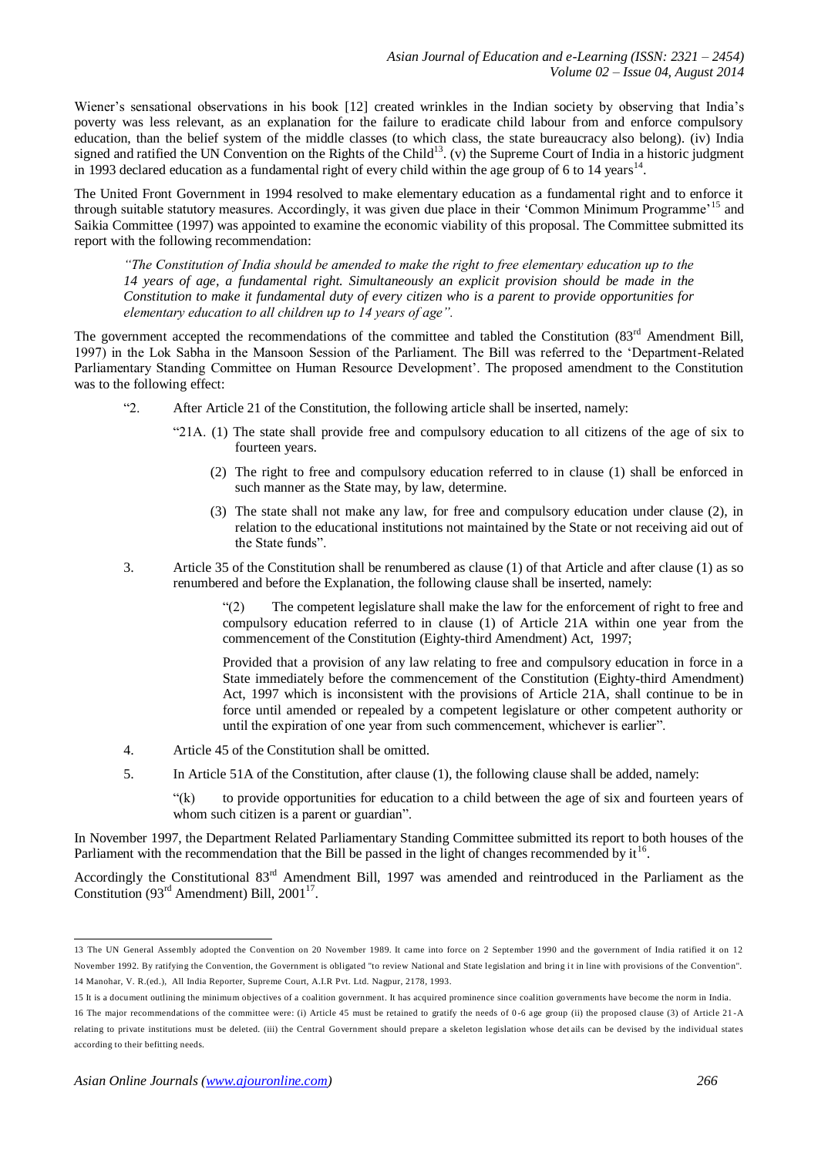Wiener's sensational observations in his book [12] created wrinkles in the Indian society by observing that India's poverty was less relevant, as an explanation for the failure to eradicate child labour from and enforce compulsory education, than the belief system of the middle classes (to which class, the state bureaucracy also belong). (iv) India signed and ratified the UN Convention on the Rights of the Child<sup>13</sup>. (v) the Supreme Court of India in a historic judgment in 1993 declared education as a fundamental right of every child within the age group of 6 to 14 years $14$ .

The United Front Government in 1994 resolved to make elementary education as a fundamental right and to enforce it through suitable statutory measures. Accordingly, it was given due place in their 'Common Minimum Programme'<sup>15</sup> and Saikia Committee (1997) was appointed to examine the economic viability of this proposal. The Committee submitted its report with the following recommendation:

*"The Constitution of India should be amended to make the right to free elementary education up to the 14 years of age, a fundamental right. Simultaneously an explicit provision should be made in the Constitution to make it fundamental duty of every citizen who is a parent to provide opportunities for elementary education to all children up to 14 years of age".*

The government accepted the recommendations of the committee and tabled the Constitution (83<sup>rd</sup> Amendment Bill, 1997) in the Lok Sabha in the Mansoon Session of the Parliament. The Bill was referred to the 'Department-Related Parliamentary Standing Committee on Human Resource Development'. The proposed amendment to the Constitution was to the following effect:

- "2. After Article 21 of the Constitution, the following article shall be inserted, namely:
	- "21A. (1) The state shall provide free and compulsory education to all citizens of the age of six to fourteen years.
		- (2) The right to free and compulsory education referred to in clause (1) shall be enforced in such manner as the State may, by law, determine.
		- (3) The state shall not make any law, for free and compulsory education under clause (2), in relation to the educational institutions not maintained by the State or not receiving aid out of the State funds".
- 3. Article 35 of the Constitution shall be renumbered as clause (1) of that Article and after clause (1) as so renumbered and before the Explanation, the following clause shall be inserted, namely:

"(2) The competent legislature shall make the law for the enforcement of right to free and compulsory education referred to in clause (1) of Article 21A within one year from the commencement of the Constitution (Eighty-third Amendment) Act, 1997;

Provided that a provision of any law relating to free and compulsory education in force in a State immediately before the commencement of the Constitution (Eighty-third Amendment) Act, 1997 which is inconsistent with the provisions of Article 21A, shall continue to be in force until amended or repealed by a competent legislature or other competent authority or until the expiration of one year from such commencement, whichever is earlier".

- 4. Article 45 of the Constitution shall be omitted.
- 5. In Article 51A of the Constitution, after clause (1), the following clause shall be added, namely:

"(k) to provide opportunities for education to a child between the age of six and fourteen years of whom such citizen is a parent or guardian".

In November 1997, the Department Related Parliamentary Standing Committee submitted its report to both houses of the Parliament with the recommendation that the Bill be passed in the light of changes recommended by it<sup>16</sup>.

Accordingly the Constitutional 83rd Amendment Bill, 1997 was amended and reintroduced in the Parliament as the Constitution  $(93<sup>rd</sup>$  Amendment) Bill, 2001<sup>17</sup>.

 13 The UN General Assembly adopted the Convention on 20 November 1989. It came into force on 2 September 1990 and the government of India ratified it on 12 November 1992. By ratifying the Convention, the Government is obligated "to review National and State legislation and bring i t in line with provisions of the Convention". 14 Manohar, V. R.(ed.), All India Reporter, Supreme Court, A.I.R Pvt. Ltd. Nagpur, 2178, 1993.

<sup>15</sup> It is a document outlining the minimum objectives of a [coalition government.](http://en.wikipedia.org/wiki/Coalition_government) It has acquired prominence since coalition governments have become the norm in India.

<sup>16</sup> The major recommendations of the committee were: (i) Article 45 must be retained to gratify the needs of 0 -6 age group (ii) the proposed clause (3) of Article 21 -A relating to private institutions must be deleted. (iii) the Central Government should prepare a skeleton legislation whose det ails can be devised by the individual states according to their befitting needs.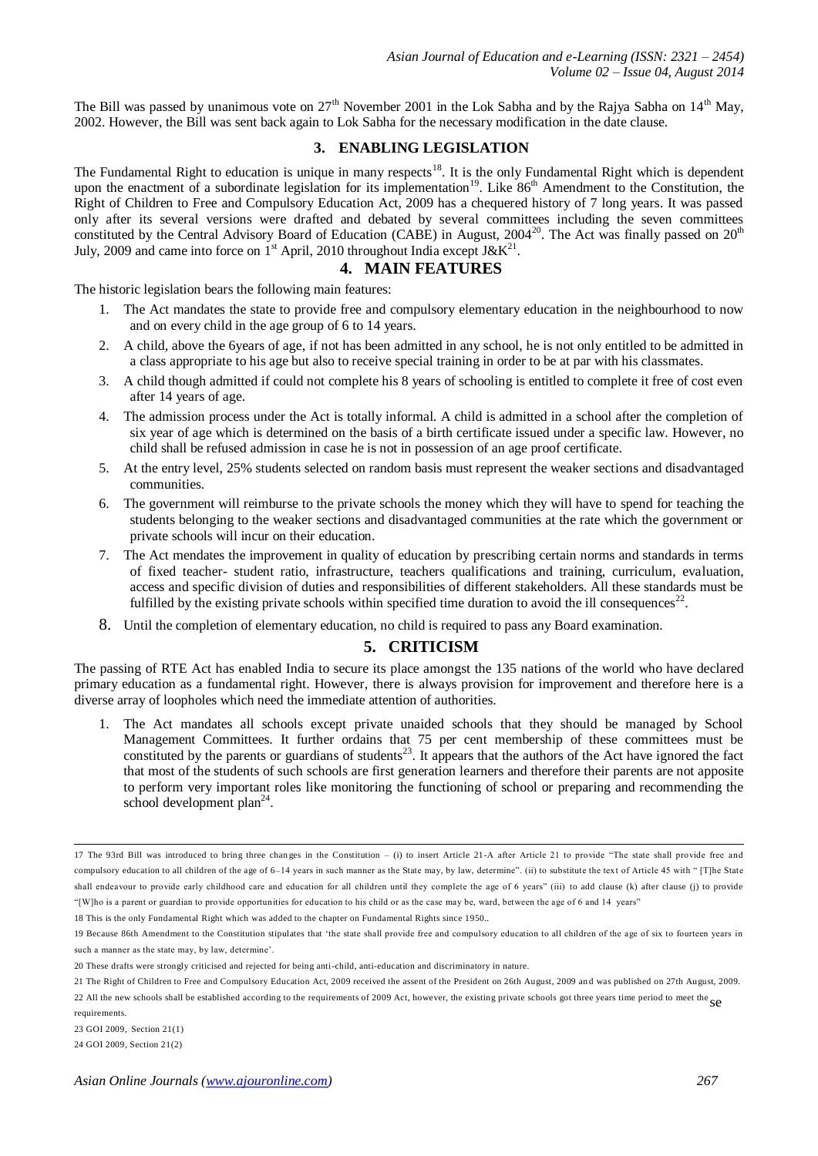The Bill was passed by unanimous vote on  $27<sup>th</sup>$  November 2001 in the Lok Sabha and by the Rajya Sabha on  $14<sup>th</sup>$  May, 2002. However, the Bill was sent back again to Lok Sabha for the necessary modification in the date clause.

# **3. ENABLING LEGISLATION**

The Fundamental Right to education is unique in many respects<sup>18</sup>. It is the only Fundamental Right which is dependent upon the enactment of a subordinate legislation for its implementation<sup>19</sup>. Like 86<sup>th</sup> Amendment to the Constitution, the Right of Children to Free and Compulsory Education Act, 2009 has a chequered history of 7 long years. It was passed only after its several versions were drafted and debated by several committees including the seven committees constituted by the Central Advisory Board of Education (CABE) in August,  $2004^{20}$ . The Act was finally passed on  $20^{th}$ July, 2009 and came into force on 1<sup>st</sup> April, 2010 throughout India except J&K<sup>21</sup>.

#### **4. MAIN FEATURES**

The historic legislation bears the following main features:

- 1. The Act mandates the state to provide free and compulsory elementary education in the neighbourhood to now and on every child in the age group of 6 to 14 years.
- 2. A child, above the 6years of age, if not has been admitted in any school, he is not only entitled to be admitted in a class appropriate to his age but also to receive special training in order to be at par with his classmates.
- 3. A child though admitted if could not complete his 8 years of schooling is entitled to complete it free of cost even after 14 years of age.
- 4. The admission process under the Act is totally informal. A child is admitted in a school after the completion of six year of age which is determined on the basis of a birth certificate issued under a specific law. However, no child shall be refused admission in case he is not in possession of an age proof certificate.
- 5. At the entry level, 25% students selected on random basis must represent the weaker sections and disadvantaged communities.
- 6. The government will reimburse to the private schools the money which they will have to spend for teaching the students belonging to the weaker sections and disadvantaged communities at the rate which the government or private schools will incur on their education.
- 7. The Act mendates the improvement in quality of education by prescribing certain norms and standards in terms of fixed teacher- student ratio, infrastructure, teachers qualifications and training, curriculum, evaluation, access and specific division of duties and responsibilities of different stakeholders. All these standards must be fulfilled by the existing private schools within specified time duration to avoid the ill consequences<sup>22</sup>.
- 8. Until the completion of elementary education, no child is required to pass any Board examination.

# **5. CRITICISM**

The passing of RTE Act has enabled India to secure its place amongst the 135 nations of the world who have declared primary education as a fundamental right. However, there is always provision for improvement and therefore here is a diverse array of loopholes which need the immediate attention of authorities.

1. The Act mandates all schools except private unaided schools that they should be managed by School Management Committees. It further ordains that 75 per cent membership of these committees must be constituted by the parents or guardians of students<sup>23</sup>. It appears that the authors of the Act have ignored the fact that most of the students of such schools are first generation learners and therefore their parents are not apposite to perform very important roles like monitoring the functioning of school or preparing and recommending the school development plan<sup>24</sup>.

18 This is the only Fundamental Right which was added to the chapter on Fundamental Rights since 1950..

 17 The 93rd Bill was introduced to bring three chan ges in the Constitution – (i) to insert Article 21-A after Article 21 to provide "The state shall provide free and compulsory education to all children of the age of 6–14 years in such manner as the State may, by law, determine". (ii) to substitute the text of Article 45 with " [T]he State shall endeavour to provide early childhood care and education for all children until they complete the age of 6 years" (iii) to add clause (k) after clause (j) to provide "[W]ho is a parent or guardian to provide opportunities for education to his child or as the case may be, ward, between the age of 6 and 14 years"

<sup>19</sup> Because 86th Amendment to the Constitution stipulates that 'the state shall provide free and compulsory education to all children of the age of six to fourteen years in such a manner as the state may, by law, determine'

<sup>20</sup> These drafts were strongly criticised and rejected for being anti-child, anti-education and discriminatory in nature.

<sup>21</sup> The Right of Children to Free and Compulsory Education Act, 2009 received the assent of the President on 26th August, 2009 an d was published on 27th August, 2009. 22 All the new schools shall be established according to the requirements of 2009 Act, however, the existing private schools got three years time period to meet the sec

requirements.

<sup>23</sup> GOI 2009, Section 21(1)

<sup>24</sup> GOI 2009, Section 21(2)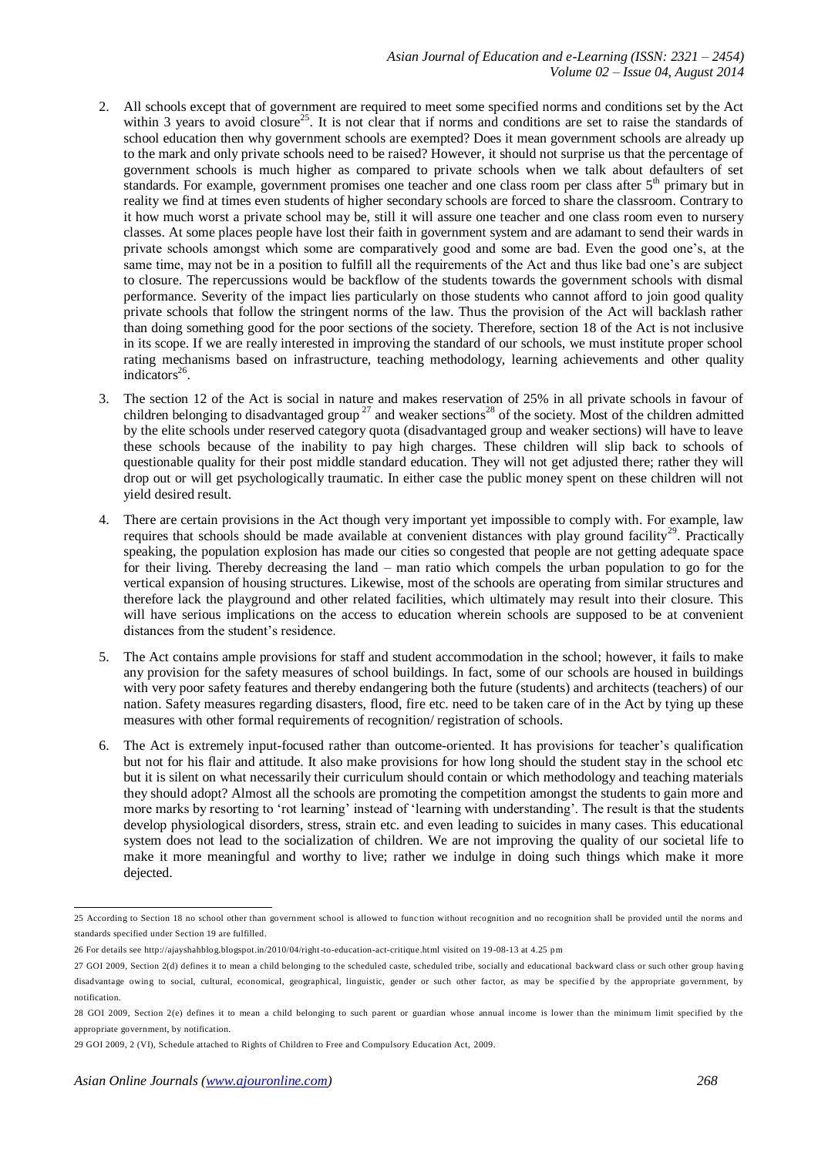- 2. All schools except that of government are required to meet some specified norms and conditions set by the Act within 3 years to avoid closure<sup>25</sup>. It is not clear that if norms and conditions are set to raise the standards of school education then why government schools are exempted? Does it mean government schools are already up to the mark and only private schools need to be raised? However, it should not surprise us that the percentage of government schools is much higher as compared to private schools when we talk about defaulters of set standards. For example, government promises one teacher and one class room per class after 5<sup>th</sup> primary but in reality we find at times even students of higher secondary schools are forced to share the classroom. Contrary to it how much worst a private school may be, still it will assure one teacher and one class room even to nursery classes. At some places people have lost their faith in government system and are adamant to send their wards in private schools amongst which some are comparatively good and some are bad. Even the good one's, at the same time, may not be in a position to fulfill all the requirements of the Act and thus like bad one's are subject to closure. The repercussions would be backflow of the students towards the government schools with dismal performance. Severity of the impact lies particularly on those students who cannot afford to join good quality private schools that follow the stringent norms of the law. Thus the provision of the Act will backlash rather than doing something good for the poor sections of the society. Therefore, section 18 of the Act is not inclusive in its scope. If we are really interested in improving the standard of our schools, we must institute proper school rating mechanisms based on infrastructure, teaching methodology, learning achievements and other quality indicators<sup>26</sup>.
- 3. The section 12 of the Act is social in nature and makes reservation of 25% in all private schools in favour of children belonging to disadvantaged group<sup>27</sup> and weaker sections<sup>28</sup> of the society. Most of the children admitted by the elite schools under reserved category quota (disadvantaged group and weaker sections) will have to leave these schools because of the inability to pay high charges. These children will slip back to schools of questionable quality for their post middle standard education. They will not get adjusted there; rather they will drop out or will get psychologically traumatic. In either case the public money spent on these children will not yield desired result.
- 4. There are certain provisions in the Act though very important yet impossible to comply with. For example, law requires that schools should be made available at convenient distances with play ground facility<sup>29</sup>. Practically speaking, the population explosion has made our cities so congested that people are not getting adequate space for their living. Thereby decreasing the land – man ratio which compels the urban population to go for the vertical expansion of housing structures. Likewise, most of the schools are operating from similar structures and therefore lack the playground and other related facilities, which ultimately may result into their closure. This will have serious implications on the access to education wherein schools are supposed to be at convenient distances from the student's residence.
- 5. The Act contains ample provisions for staff and student accommodation in the school; however, it fails to make any provision for the safety measures of school buildings. In fact, some of our schools are housed in buildings with very poor safety features and thereby endangering both the future (students) and architects (teachers) of our nation. Safety measures regarding disasters, flood, fire etc. need to be taken care of in the Act by tying up these measures with other formal requirements of recognition/ registration of schools.
- 6. The Act is extremely input-focused rather than outcome-oriented. It has provisions for teacher's qualification but not for his flair and attitude. It also make provisions for how long should the student stay in the school etc but it is silent on what necessarily their curriculum should contain or which methodology and teaching materials they should adopt? Almost all the schools are promoting the competition amongst the students to gain more and more marks by resorting to 'rot learning' instead of 'learning with understanding'. The result is that the students develop physiological disorders, stress, strain etc. and even leading to suicides in many cases. This educational system does not lead to the socialization of children. We are not improving the quality of our societal life to make it more meaningful and worthy to live; rather we indulge in doing such things which make it more dejected.

was according to Section 18 no school other than government school is allowed to function without recognition and no recognition shall be provided until the norms and the norms and standards specified under Section 19 are fulfilled.

<sup>26</sup> For details see [http://ajayshahblog.blogspot.in/2010/04/right-to-education-act-critique.html visited on 19-08-13 at 4.25](http://ajayshahblog.blogspot.in/2010/04/right-to-education-act-critique.html%20visited%20on%2019-08-13%20at%204.25) pm

<sup>27</sup> GOI 2009, Section 2(d) defines it to mean a child belonging to the scheduled caste, scheduled tribe, socially and educational backward class or such other group having disadvantage owing to social, cultural, economical, geographical, linguistic, gender or such other factor, as may be specifie d by the appropriate government, by notification.

<sup>28</sup> GOI 2009, Section 2(e) defines it to mean a child belonging to such parent or guardian whose annual income is lower than the minimum limit specified by the appropriate government, by notification.

<sup>29</sup> GOI 2009, 2 (VI), Schedule attached to Rights of Children to Free and Compulsory Education Act, 2009.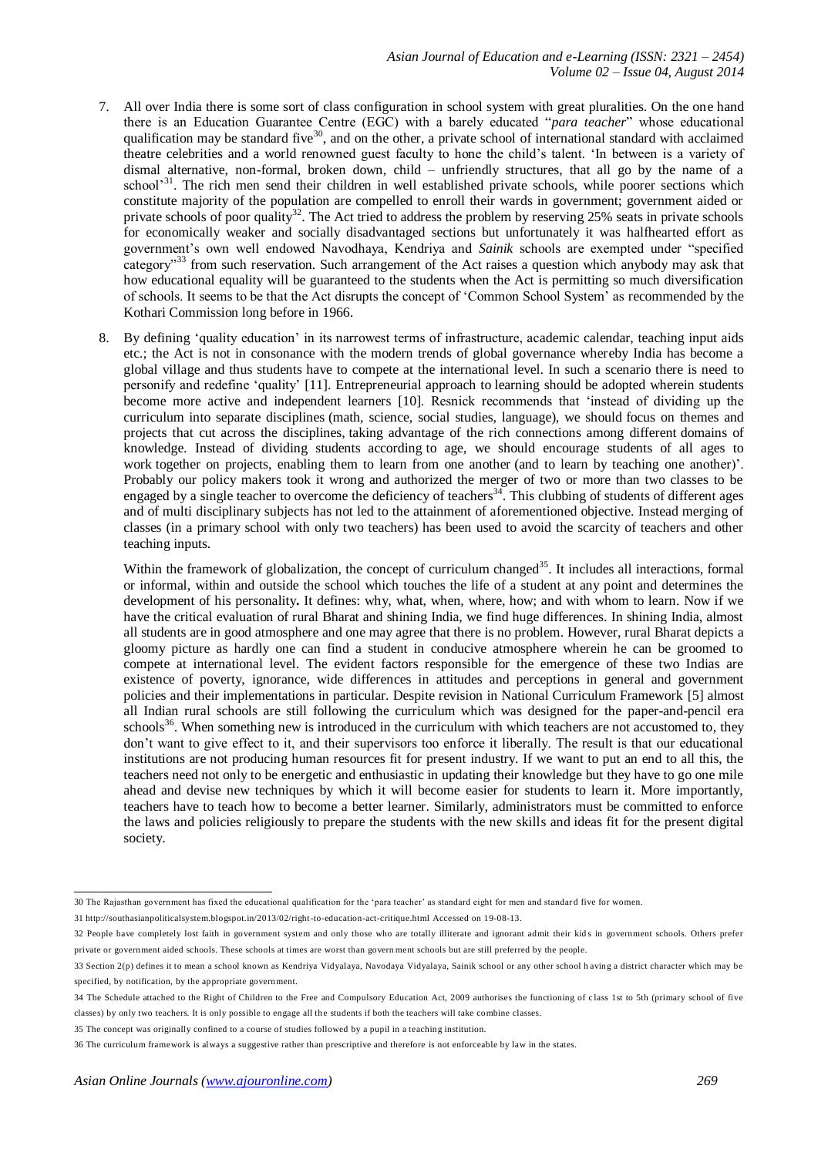- 7. All over India there is some sort of class configuration in school system with great pluralities. On the one hand there is an Education Guarantee Centre (EGC) with a barely educated "*para teacher*" whose educational qualification may be standard five<sup>30</sup>, and on the other, a private school of international standard with acclaimed theatre celebrities and a world renowned guest faculty to hone the child's talent. 'In between is a variety of dismal alternative, non-formal, broken down, child – unfriendly structures, that all go by the name of a school<sup>31</sup>. The rich men send their children in well established private schools, while poorer sections which constitute majority of the population are compelled to enroll their wards in government; government aided or private schools of poor quality<sup>32</sup>. The Act tried to address the problem by reserving 25% seats in private schools for economically weaker and socially disadvantaged sections but unfortunately it was halfhearted effort as government's own well endowed Navodhaya, Kendriya and *Sainik* schools are exempted under "specified category"<sup>33</sup> from such reservation. Such arrangement of the Act raises a question which anybody may ask that how educational equality will be guaranteed to the students when the Act is permitting so much diversification of schools. It seems to be that the Act disrupts the concept of 'Common School System' as recommended by the Kothari Commission long before in 1966.
- 8. By defining 'quality education' in its narrowest terms of infrastructure, academic calendar, teaching input aids etc.; the Act is not in consonance with the modern trends of global governance whereby India has become a global village and thus students have to compete at the international level. In such a scenario there is need to personify and redefine 'quality' [11]. Entrepreneurial approach to learning should be adopted wherein students become more active and independent learners [10]. Resnick recommends that 'instead of dividing up the curriculum into separate disciplines (math, science, social studies, language), we should focus on themes and projects that cut across the disciplines, taking advantage of the rich connections among different domains of knowledge. Instead of dividing students according to age, we should encourage students of all ages to work together on projects, enabling them to learn from one another (and to learn by teaching one another)'. Probably our policy makers took it wrong and authorized the merger of two or more than two classes to be engaged by a single teacher to overcome the deficiency of teachers<sup>34</sup>. This clubbing of students of different ages and of multi disciplinary subjects has not led to the attainment of aforementioned objective. Instead merging of classes (in a primary school with only two teachers) has been used to avoid the scarcity of teachers and other teaching inputs.

Within the framework of globalization, the concept of curriculum changed<sup>35</sup>. It includes all interactions, formal or informal, within and outside the school which touches the life of a student at any point and determines the development of his personality**.** It defines: why, what, when, where, how; and with whom to learn. Now if we have the critical evaluation of rural Bharat and shining India, we find huge differences. In shining India, almost all students are in good atmosphere and one may agree that there is no problem. However, rural Bharat depicts a gloomy picture as hardly one can find a student in conducive atmosphere wherein he can be groomed to compete at international level. The evident factors responsible for the emergence of these two Indias are existence of poverty, ignorance, wide differences in attitudes and perceptions in general and government policies and their implementations in particular. Despite revision in National Curriculum Framework [5] almost all Indian rural schools are still following the curriculum which was designed for the paper-and-pencil era schools<sup>36</sup>. When something new is introduced in the curriculum with which teachers are not accustomed to, they don't want to give effect to it, and their supervisors too enforce it liberally. The result is that our educational institutions are not producing human resources fit for present industry. If we want to put an end to all this, the teachers need not only to be energetic and enthusiastic in updating their knowledge but they have to go one mile ahead and devise new techniques by which it will become easier for students to learn it. More importantly, teachers have to teach how to become a better learner. Similarly, administrators must be committed to enforce the laws and policies religiously to prepare the students with the new skills and ideas fit for the present digital society.

 30 The Rajasthan government has fixed the educational qualification for the 'para teacher' as standard eight for men and standar d five for women.

<sup>31</sup> http://southasianpoliticalsystem.blogspot.in/2013/02/right-to-education-act-critique.html Accessed on 19-08-13.

<sup>32</sup> People have completely lost faith in government system and only those who are totally illiterate and ignorant admit their kid s in government schools. Others prefer private or government aided schools. These schools at times are worst than govern ment schools but are still preferred by the people.

<sup>33</sup> Section 2(p) defines it to mean a school known as Kendriya Vidyalaya, Navodaya Vidyalaya, Sainik school or any other school h aving a district character which may be specified, by notification, by the appropriate government.

<sup>34</sup> The Schedule attached to the Right of Children to the Free and Compulsory Education Act, 2009 authorises the functioning of c lass 1st to 5th (primary school of five classes) by only two teachers. It is only possible to engage all the students if both the teachers will take combine classes.

<sup>35</sup> The concept was originally confined to a course of studies followed by a pupil in a teaching institution.

<sup>36</sup> The curriculum framework is always a suggestive rather than prescriptive and therefore is not enforceable by law in the states.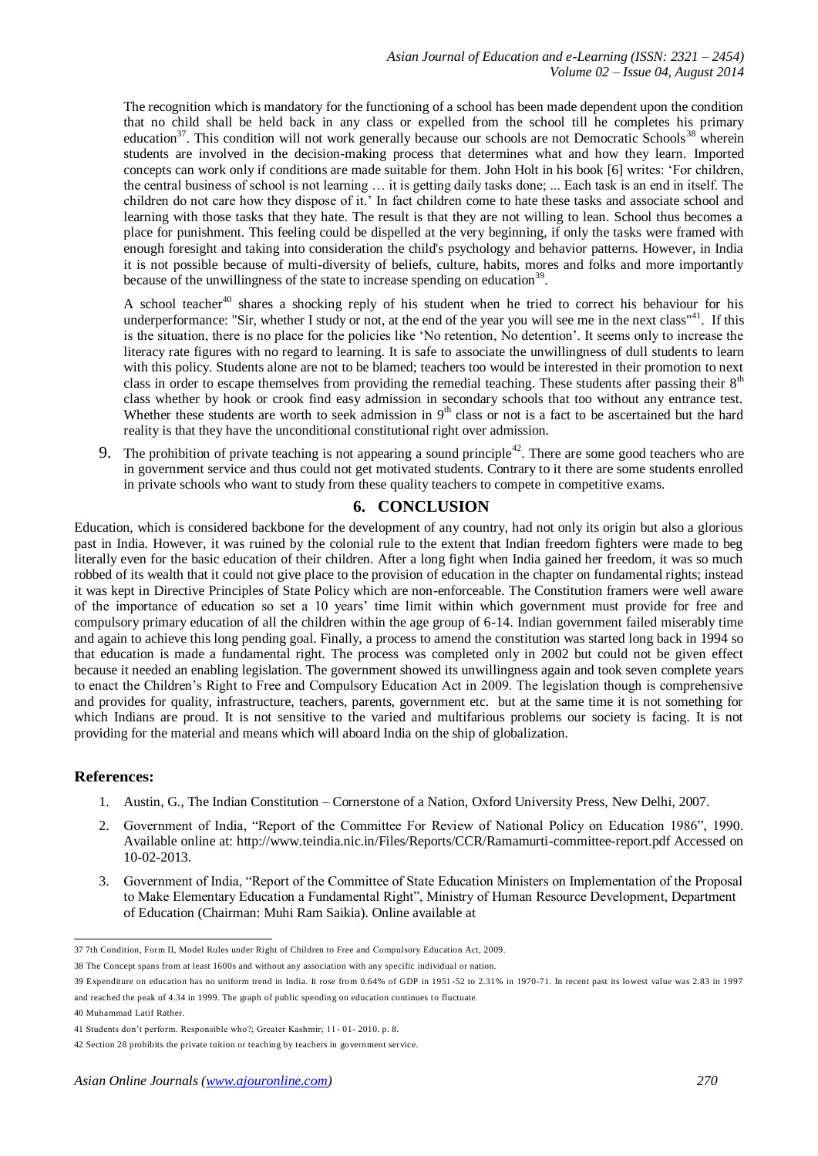The recognition which is mandatory for the functioning of a school has been made dependent upon the condition that no child shall be held back in any class or expelled from the school till he completes his primary education<sup>37</sup>. This condition will not work generally because our schools are not Democratic Schools<sup>38</sup> wherein students are involved in the decision-making process that determines what and how they learn. Imported concepts can work only if conditions are made suitable for them. John Holt in his book [6] writes: 'For children, the central business of school is not learning … it is getting daily tasks done; ... Each task is an end in itself. The children do not care how they dispose of it.' In fact children come to hate these tasks and associate school and learning with those tasks that they hate. The result is that they are not willing to lean. School thus becomes a place for punishment. This feeling could be dispelled at the very beginning, if only the tasks were framed with enough foresight and taking into consideration the child's psychology and behavior patterns. However, in India it is not possible because of multi-diversity of beliefs, culture, habits, mores and folks and more importantly because of the unwillingness of the state to increase spending on education<sup>39</sup>.

A school teacher<sup>40</sup> shares a shocking reply of his student when he tried to correct his behaviour for his underperformance: "Sir, whether I study or not, at the end of the year you will see me in the next class"<sup>41</sup>. If this is the situation, there is no place for the policies like 'No retention, No detention'. It seems only to increase the literacy rate figures with no regard to learning. It is safe to associate the unwillingness of dull students to learn with this policy. Students alone are not to be blamed; teachers too would be interested in their promotion to next class in order to escape themselves from providing the remedial teaching. These students after passing their 8<sup>th</sup> class whether by hook or crook find easy admission in secondary schools that too without any entrance test. Whether these students are worth to seek admission in  $9<sup>th</sup>$  class or not is a fact to be ascertained but the hard reality is that they have the unconditional constitutional right over admission.

9. The prohibition of private teaching is not appearing a sound principle<sup>42</sup>. There are some good teachers who are in government service and thus could not get motivated students. Contrary to it there are some students enrolled in private schools who want to study from these quality teachers to compete in competitive exams.

# **6. CONCLUSION**

Education, which is considered backbone for the development of any country, had not only its origin but also a glorious past in India. However, it was ruined by the colonial rule to the extent that Indian freedom fighters were made to beg literally even for the basic education of their children. After a long fight when India gained her freedom, it was so much robbed of its wealth that it could not give place to the provision of education in the chapter on fundamental rights; instead it was kept in Directive Principles of State Policy which are non-enforceable. The Constitution framers were well aware of the importance of education so set a 10 years' time limit within which government must provide for free and compulsory primary education of all the children within the age group of 6-14. Indian government failed miserably time and again to achieve this long pending goal. Finally, a process to amend the constitution was started long back in 1994 so that education is made a fundamental right. The process was completed only in 2002 but could not be given effect because it needed an enabling legislation. The government showed its unwillingness again and took seven complete years to enact the Children's Right to Free and Compulsory Education Act in 2009. The legislation though is comprehensive and provides for quality, infrastructure, teachers, parents, government etc. but at the same time it is not something for which Indians are proud. It is not sensitive to the varied and multifarious problems our society is facing. It is not providing for the material and means which will aboard India on the ship of globalization.

## **References:**

- 1. Austin, G., The Indian Constitution Cornerstone of a Nation, Oxford University Press, New Delhi, 2007.
- 2. Government of India, "Report of the Committee For Review of National Policy on Education 1986", 1990. Available online at: http://www.teindia.nic.in/Files/Reports/CCR/Ramamurti-committee-report.pdf Accessed on 10-02-2013.
- 3. Government of India, "Report of the Committee of State Education Ministers on Implementation of the Proposal to Make Elementary Education a Fundamental Right", Ministry of Human Resource Development, Department of Education (Chairman: Muhi Ram Saikia). Online available at

 37 7th Condition, Form II, Model Rules under Right of Children to Free and Compulsory Education Act, 2009.

<sup>38</sup> The Concept spans from at least 1600s and without any association with any specific individual or nation.

<sup>39</sup> Expenditure on education has no uniform trend in India. It rose from 0.64% of GDP in 1951 -52 to 2.31% in 1970-71. In recent past its lowest value was 2.83 in 1997 and reached the peak of 4.34 in 1999. The graph of public spending on education continues to fluctuate.

<sup>40</sup> Muhammad Latif Rather.

<sup>41</sup> Students don't perform. Responsible who?; Greater Kashmir; 11- 01- 2010. p. 8.

<sup>42</sup> Section 28 prohibits the private tuition or teaching by teachers in government service.